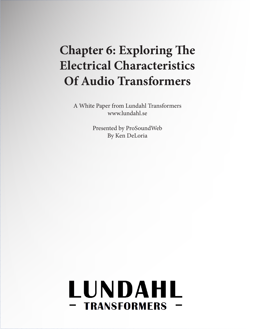# **Chapter 6: Exploring The Electrical Characteristics Of Audio Transformers**

A White Paper from Lundahl Transformers www.lundahl.se

> Presented by ProSoundWeb By Ken DeLoria

# LUNDAHL - TRANSFORMERS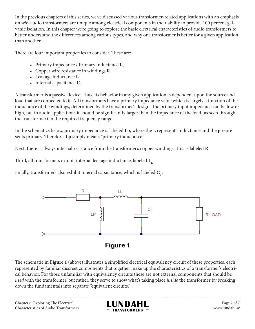In the previous chapters of this series, we've discussed various transformer-related applications with an emphasis on *why* audio transformers are unique among electrical components in their ability to provide 100 percent galvanic isolation. In this chapter we're going to explore the basic electrical characteristics of audio transformers to better understand the differences among various types, and why one transformer is better for a given application than another.

There are four important properties to consider. These are:

- Primary impedance / Primary inductance  $L_p$
- Copper wire resistance in windings **R**
- Leakage inductance **L**<sub>1</sub>
- Internal capacitance  $C_T$

A transformer is a passive device. Thus, its behavior in any given application is dependent upon the source and load that are connected to it. All transformers have a primary impedance value which is largely a function of the inductance of the windings, determined by the transformer's design. The primary input impedance can be low or high, but in audio applications it should be significantly larger than the impedance of the load (as seen through the transformer) in the required frequency range.

In the schematics below, primary impedance is labeled **Lp**, where the **L** represents inductance and the **p** represents primary. Therefore, **Lp** simply means "primary inductance."

Next, there is always internal resistance from the transformer's copper windings. This is labeled **R**.

Third, all transformers exhibit internal leakage inductance, labeled  $\text{L}_\text{L}$ .

Finally, transformers also exhibit internal capacitance, which is labeled C<sub>T</sub>.



The schematic in **Figure 1** (above) illustrates a simplified electrical equivalency circuit of these properties, each represented by familiar discreet components that together make up the characteristics of a transformer's electrical behavior. For those unfamiliar with equivalency circuits these are not external components that should be *used* with the transformer, but rather, they serve to show what's taking place *inside* the transformer by breaking down the fundamentals into separate "equivalent circuits."

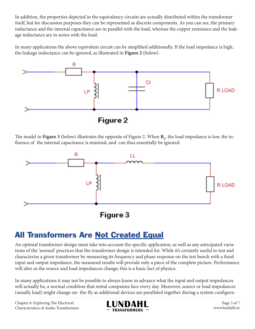In addition, the properties depicted in the equivalency circuits are actually distributed within the transformer itself, but for discussion purposes they can be represented as discrete components. As you can see, the primary inductance and the internal capacitance are in parallel with the load, whereas the copper resistance and the leakage inductance are in series with the load.

In many applications the above equivalent circuit can be simplified additionally. If the load impedance is high, the leakage inductance can be ignored, as illustrated in **Figure 2** (below).



The model in  $Figure 3$  (below) illustrates the opposite of Figure 2. When  $\mathbf{R}_{_{\rm L}},$  the load impedance is low, the influence of the internal capacitance is minimal, and can thus essentially be ignored.



Figure 3

#### All Transformers Are Not Created Equal

An optimal transformer design must take into account the specific application, as well as any anticipated variations of the 'normal' practices that the transformer design is intended for. While it's certainly useful to test and characterize a given transformer by measuring its frequency and phase response on the test bench with a fixed input and output impedance, the measured results will provide only a piece of the complete picture. Performance will alter as the source and load impedances change; this is a basic fact of physics.

In many applications it may not be possible to always know in advance what the input and output impedances will actually be, a normal condition that rental companies face every day. Moreover, source or load impedances (usually load) might change on- the-fly as additional devices are paralleled together during a system configura-

Chapter 6: Exploring The Electrical Characteristics of Audio Transformers



Page 3 of 7 www.lundahl.se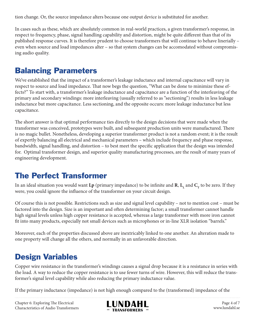tion change. Or, the source impedance alters because one output device is substituted for another.

In cases such as these, which are absolutely common in real-world practices, a given transformer's response, in respect to frequency, phase, signal handling capability and distortion, might be quite different than that of its published response curves. It is therefore prudent to choose transformers that will continue to behave linerially – even when source and load impedances alter – so that system changes can be accomodated without compromising audio quality.

#### Balancing Parameters

We've established that the impact of a transformer's leakage inductance and internal capacitance will vary in respect to source and load impedance. That now begs the question, "What can be done to minimize these effects?" To start with, a transformer's leakage inductance and capacitance are a function of the interleaving of the primary and secondary windings: more interleaving (usually referred to as "sectioning") results in less leakage inductance but more capacitance. Less sectioning, and the opposite occurs: more leakage inductance but less capacitance.

The short answer is that optimal performance ties directly to the design decisions that were made when the transformer was conceived, prototypes were built, and subsequent production units were manufactured. There is no magic bullet. Nonetheless, developing a superior transformer product is not a random event; it is the result of expertly balancing all electrical and mechanical parameters – which include frequency and phase response, bandwidth, signal handling, and distortion – to best meet the specific application that the design was intended for. Optimal transformer design, and superior quality manufacturing processes, are the result of many years of engineering development.

#### The Perfect Transformer

In an ideal situation you would want  $Lp$  (primary impedance) to be infinite and  $R$ ,  $L_{\rm L}$  and  $C_{\rm T}$  to be zero. If they were, you could ignore the influence of the transformer on your circuit design.

Of course this is not possible. Restrictions such as size and signal level capability – not to mention cost – must be factored into the design. Size is an important and often determining factor; a small transformer cannot handle high signal levels unless high copper resistance is accepted, whereas a large transformer with more iron cannot fit into many products, especially not small devices such as microphones or in-line XLR isolation "barrels."

Moreover, each of the properties discussed above are inextricably linked to one another. An alteration made to one property will change all the others, and normally in an unfavorable direction.

#### Design Variables

Copper wire resistance in the transformer's windings causes a signal drop because it is a resistance in series with the load. A way to reduce the copper resistance is to use fewer turns of wire. However, this will reduce the transformer's signal level capability while also reducing the primary inductance value.

If the primary inductance (impedance) is not high enough compared to the (transformed) impedance of the

Chapter 6: Exploring The Electrical Characteristics of Audio Transformers



Page 4 of 7 www.lundahl.se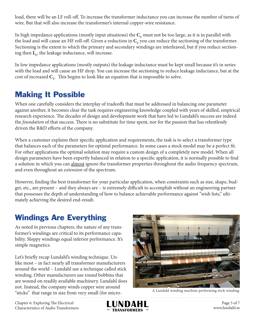load, there will be an LF roll-off. To increase the transformer inductance you can increase the number of turns of wire. But that will also increase the transformer's internal copper-wire resistance.

In high impedance applications (mostly input situations) the  $C_T$  must not be too large, as it is in parallel with the load and will cause an HF roll-off. Given a reduction in  $C<sub>r</sub>$  you can reduce the sectioning of the transformer. Sectioning is the extent to which the primary and secondary windings are interleaved, but if you reduce sectioning then  $\mathbf{L}_{\mathbf{L}}$ , the leakage inductance, will increase.

In low impedance applications (mostly outputs) the leakage inductance must be kept small because it's in series with the load and will cause an HF drop. You can increase the sectioning to reduce leakage inductance, but at the cost of increased  $C_T$ . This begins to look like an equation that is impossible to solve.

#### Making It Possible

When one carefully considers the interplay of tradeoffs that must be addressed in balancing one parameter against another, it becomes clear the task requires engineering knowledge coupled with years of skilled, empirical research experience. The decades of design and development work that have led to Lundahl's success are indeed the *foundation* of that success. There is no substitute for time spent, nor for the passion that has relentlessly driven the R&D efforts of the company.

When a customer explains their specific application and requirements, the task is to select a transformer type that balances each of the parameters for optimal performance. In some cases a stock model may be a perfect fit. For other applications the optimal solution may require a custom design of a completely new model. When all design parameters have been expertly balanced in relation to a specific application, it is normally possible to find a solution in which you can almost ignore the transformer properties throughout the audio frequency spectrum, and even throughout an *extension* of the spectrum.

However, finding the best transformer for your particular application, when constraints such as size, shape, budget, etc., are present – and they always are – is extremely difficult to accomplish without an engineering partner that possesses the depth of understanding of how to balance achievable performance against "wish lists," ultimately achieving the desired end-result.

#### Windings Are Everything

As noted in previous chapters, the nature of any transformer's windings are critical to its performance capability. Sloppy windings equal inferior performance. It's simple magnetics.

Let's briefly recap Lundahl's winding technique. Unlike most – in fact nearly all transformer manufacturers around the world – Lundahl use a technique called stick winding. Other manufacturers use round bobbins that are wound on readily available machinery. Lundahl does not. Instead, the company winds copper wire around "sticks" that range in size from very small (for micro- A Lundahl winding machine performing stick winding.





Page 5 of 7 www.lundahl.se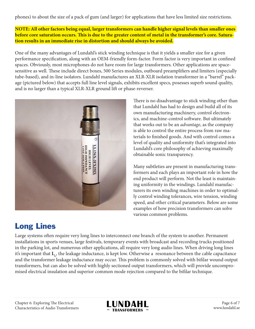phones) to about the size of a pack of gum (and larger) for applications that have less limited size restrictions.

**NOTE: All other factors being equal, larger transformers can handle higher signal levels than smaller ones before core saturation occurs. This is due to the greater content of metal in the transformer's core. Saturation results in an immediate rise in distortion and should always be avoided.**

One of the many advantages of Lundahl's stick winding technique is that it yields a smaller size for a given performance specification, along with an OEM-friendly form-factor. Form factor is very important in confined spaces. Obviously, most microphones do not have room for large transformers. Other applications are spacesensitive as well. These include direct boxes, 500 Series modules, outboard preamplifiers and limiters (especially tube-based), and in-line isolators. Lundahl manufactures an XLR-XLR isolation transformer in a "barrel" package (pictured below) that accepts full line level signals, exhibits excellent specs, posesses superb sound quality, and is no larger than a typical XLR-XLR ground lift or phase-reverser.



## Long Lines

There is no disadvantage to stick winding other than that Lundahl has had to design and build all of its own manufacturing machinery, control electronics, and machine-control software. But ultimately that works out to be an *advantage*, as the company is able to control the entire process from raw materials to finished goods. And with control comes a level of quality and uniformity that's integrated into Lundahl's core philosophy of achieving maximally obtainable sonic transparency.

Many subtleties are present in manufacturing transformers and each plays an important role in how the end product will perform. Not the least is maintaining uniformity in the windings. Lundahl manufacturers its own winding machines in order to optimally control winding tolerances, wire tension, winding speed, and other critical parameters. Below are some examples of how precision transformers can solve various common problems.

Large systems often require very long lines to interconnect one branch of the system to another. Permanent installations in sports venues, large festivals, temporary events with broadcast and recording trucks positioned in the parking lot, and numerous other applications, all require very long audio lines. When driving long lines it's important that  $\textbf{L}_{\text{L}}$ , the leakage inductance, is kept low. Otherwise a resonance between the cable capacitance and the transformer leakage inductance may occur. This problem is commonly solved with bifilar wound output transformers, but can also be solved with highly sectioned output transformers, which will provide uncompromised electrical insulation and superior common mode rejection compared to the bifilar technique.



Page 6 of 7 www.lundahl.se